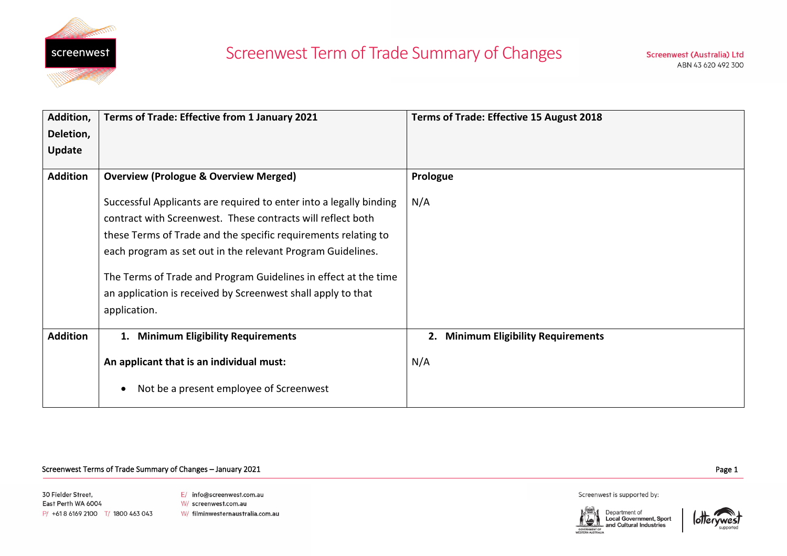

## Screenwest Term of Trade Summary of Changes

| Addition,       | Terms of Trade: Effective from 1 January 2021                      | Terms of Trade: Effective 15 August 2018      |
|-----------------|--------------------------------------------------------------------|-----------------------------------------------|
| Deletion,       |                                                                    |                                               |
| <b>Update</b>   |                                                                    |                                               |
| <b>Addition</b> |                                                                    |                                               |
|                 | <b>Overview (Prologue &amp; Overview Merged)</b>                   | Prologue                                      |
|                 | Successful Applicants are required to enter into a legally binding | N/A                                           |
|                 | contract with Screenwest. These contracts will reflect both        |                                               |
|                 | these Terms of Trade and the specific requirements relating to     |                                               |
|                 | each program as set out in the relevant Program Guidelines.        |                                               |
|                 | The Terms of Trade and Program Guidelines in effect at the time    |                                               |
|                 | an application is received by Screenwest shall apply to that       |                                               |
|                 | application.                                                       |                                               |
|                 |                                                                    |                                               |
| <b>Addition</b> | 1. Minimum Eligibility Requirements                                | <b>Minimum Eligibility Requirements</b><br>2. |
|                 |                                                                    |                                               |
|                 | An applicant that is an individual must:                           | N/A                                           |
|                 | Not be a present employee of Screenwest                            |                                               |
|                 |                                                                    |                                               |

## Page 1 Screenwest Terms of Trade Summary of Changes – January 2021

30 Fielder Street, East Perth WA 6004 P/ +618 6169 2100 T/ 1800 463 043 E/ info@screenwest.com.au W/ screenwest.com.au W/ filminwesternaustralia.com.au Screenwest is supported by:



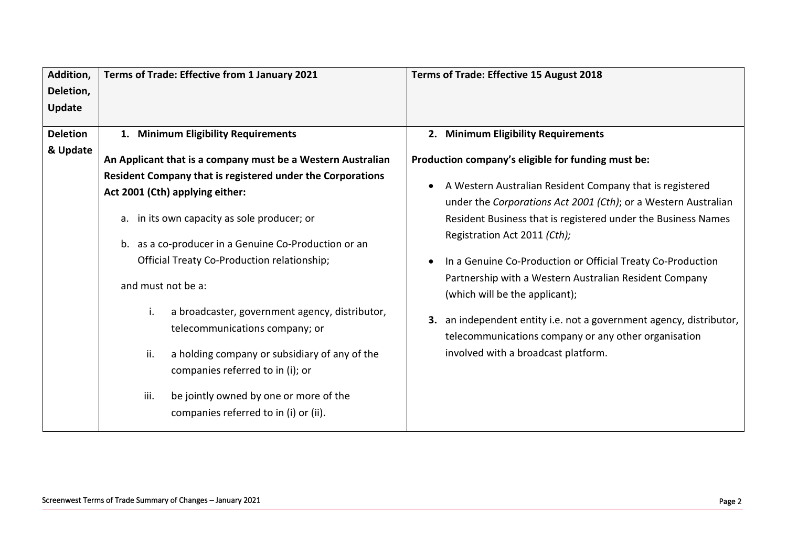| Addition,                   | Terms of Trade: Effective from 1 January 2021                                                                                                                                                                                                                                                                                                                                                                                                                                                                                     | Terms of Trade: Effective 15 August 2018                                                                                                                                                                                                                                                                                                                                                                                                                                                                                                                                                                                                                     |
|-----------------------------|-----------------------------------------------------------------------------------------------------------------------------------------------------------------------------------------------------------------------------------------------------------------------------------------------------------------------------------------------------------------------------------------------------------------------------------------------------------------------------------------------------------------------------------|--------------------------------------------------------------------------------------------------------------------------------------------------------------------------------------------------------------------------------------------------------------------------------------------------------------------------------------------------------------------------------------------------------------------------------------------------------------------------------------------------------------------------------------------------------------------------------------------------------------------------------------------------------------|
| Deletion,                   |                                                                                                                                                                                                                                                                                                                                                                                                                                                                                                                                   |                                                                                                                                                                                                                                                                                                                                                                                                                                                                                                                                                                                                                                                              |
| <b>Update</b>               |                                                                                                                                                                                                                                                                                                                                                                                                                                                                                                                                   |                                                                                                                                                                                                                                                                                                                                                                                                                                                                                                                                                                                                                                                              |
| <b>Deletion</b><br>& Update | 1. Minimum Eligibility Requirements<br>An Applicant that is a company must be a Western Australian<br>Resident Company that is registered under the Corporations<br>Act 2001 (Cth) applying either:<br>a. in its own capacity as sole producer; or<br>b. as a co-producer in a Genuine Co-Production or an<br>Official Treaty Co-Production relationship;<br>and must not be a:<br>i.<br>a broadcaster, government agency, distributor,<br>telecommunications company; or<br>ii.<br>a holding company or subsidiary of any of the | 2. Minimum Eligibility Requirements<br>Production company's eligible for funding must be:<br>A Western Australian Resident Company that is registered<br>under the Corporations Act 2001 (Cth); or a Western Australian<br>Resident Business that is registered under the Business Names<br>Registration Act 2011 (Cth);<br>In a Genuine Co-Production or Official Treaty Co-Production<br>Partnership with a Western Australian Resident Company<br>(which will be the applicant);<br>an independent entity i.e. not a government agency, distributor,<br>3.<br>telecommunications company or any other organisation<br>involved with a broadcast platform. |
|                             | companies referred to in (i); or<br>iii.<br>be jointly owned by one or more of the<br>companies referred to in (i) or (ii).                                                                                                                                                                                                                                                                                                                                                                                                       |                                                                                                                                                                                                                                                                                                                                                                                                                                                                                                                                                                                                                                                              |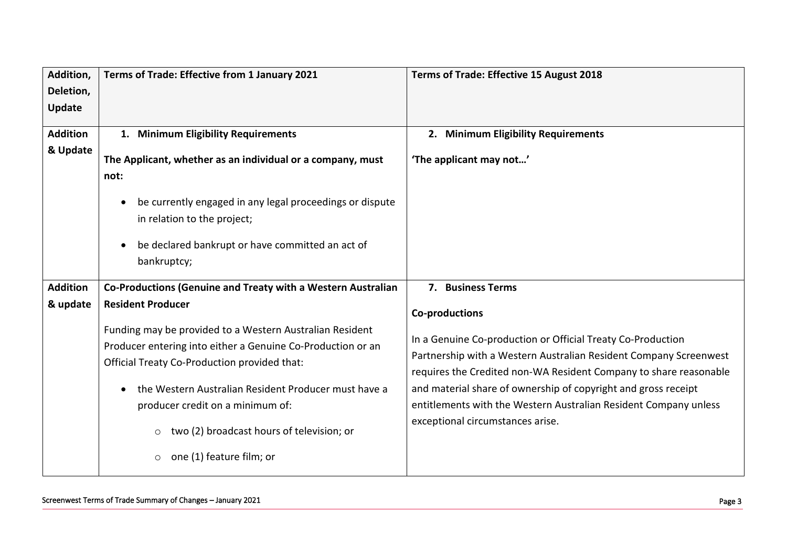| Addition,       | Terms of Trade: Effective from 1 January 2021                         | Terms of Trade: Effective 15 August 2018                          |
|-----------------|-----------------------------------------------------------------------|-------------------------------------------------------------------|
| Deletion,       |                                                                       |                                                                   |
| Update          |                                                                       |                                                                   |
| <b>Addition</b> | 1. Minimum Eligibility Requirements                                   | 2. Minimum Eligibility Requirements                               |
| & Update        |                                                                       |                                                                   |
|                 | The Applicant, whether as an individual or a company, must            | 'The applicant may not'                                           |
|                 | not:                                                                  |                                                                   |
|                 | be currently engaged in any legal proceedings or dispute<br>$\bullet$ |                                                                   |
|                 | in relation to the project;                                           |                                                                   |
|                 |                                                                       |                                                                   |
|                 | be declared bankrupt or have committed an act of<br>$\bullet$         |                                                                   |
|                 | bankruptcy;                                                           |                                                                   |
| <b>Addition</b> | Co-Productions (Genuine and Treaty with a Western Australian          | 7. Business Terms                                                 |
| & update        | <b>Resident Producer</b>                                              |                                                                   |
|                 |                                                                       | <b>Co-productions</b>                                             |
|                 | Funding may be provided to a Western Australian Resident              | In a Genuine Co-production or Official Treaty Co-Production       |
|                 | Producer entering into either a Genuine Co-Production or an           | Partnership with a Western Australian Resident Company Screenwest |
|                 | Official Treaty Co-Production provided that:                          | requires the Credited non-WA Resident Company to share reasonable |
|                 | the Western Australian Resident Producer must have a                  | and material share of ownership of copyright and gross receipt    |
|                 | producer credit on a minimum of:                                      | entitlements with the Western Australian Resident Company unless  |
|                 |                                                                       | exceptional circumstances arise.                                  |
|                 | two (2) broadcast hours of television; or<br>$\circ$                  |                                                                   |
|                 | one (1) feature film; or<br>$\circ$                                   |                                                                   |
|                 |                                                                       |                                                                   |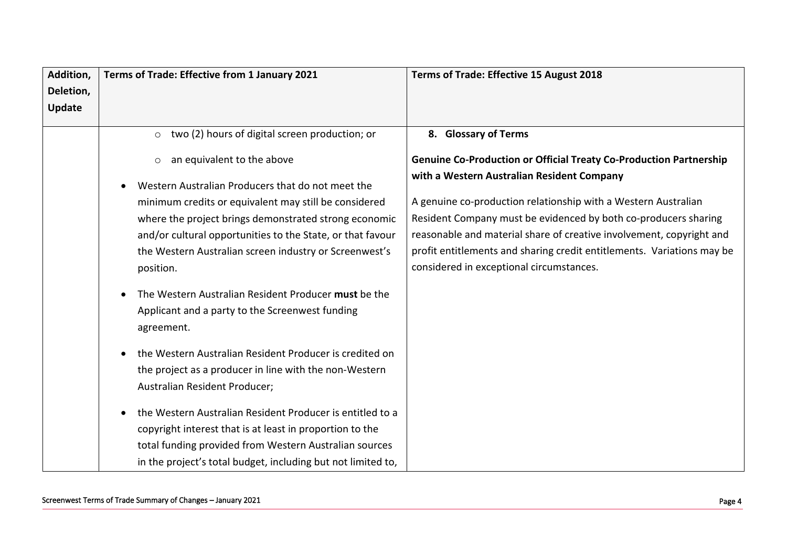| Addition, | Terms of Trade: Effective from 1 January 2021                                           | Terms of Trade: Effective 15 August 2018                                  |
|-----------|-----------------------------------------------------------------------------------------|---------------------------------------------------------------------------|
| Deletion, |                                                                                         |                                                                           |
| Update    |                                                                                         |                                                                           |
|           | two (2) hours of digital screen production; or<br>$\circ$                               | 8. Glossary of Terms                                                      |
|           |                                                                                         |                                                                           |
|           | an equivalent to the above<br>$\circ$                                                   | <b>Genuine Co-Production or Official Treaty Co-Production Partnership</b> |
|           | Western Australian Producers that do not meet the<br>$\bullet$                          | with a Western Australian Resident Company                                |
|           | minimum credits or equivalent may still be considered                                   | A genuine co-production relationship with a Western Australian            |
|           | where the project brings demonstrated strong economic                                   | Resident Company must be evidenced by both co-producers sharing           |
|           | and/or cultural opportunities to the State, or that favour                              | reasonable and material share of creative involvement, copyright and      |
|           | the Western Australian screen industry or Screenwest's                                  | profit entitlements and sharing credit entitlements. Variations may be    |
|           | position.                                                                               | considered in exceptional circumstances.                                  |
|           | The Western Australian Resident Producer must be the<br>$\bullet$                       |                                                                           |
|           | Applicant and a party to the Screenwest funding                                         |                                                                           |
|           | agreement.                                                                              |                                                                           |
|           | the Western Australian Resident Producer is credited on                                 |                                                                           |
|           | $\bullet$                                                                               |                                                                           |
|           | the project as a producer in line with the non-Western<br>Australian Resident Producer; |                                                                           |
|           |                                                                                         |                                                                           |
|           | the Western Australian Resident Producer is entitled to a                               |                                                                           |
|           | copyright interest that is at least in proportion to the                                |                                                                           |
|           | total funding provided from Western Australian sources                                  |                                                                           |
|           | in the project's total budget, including but not limited to,                            |                                                                           |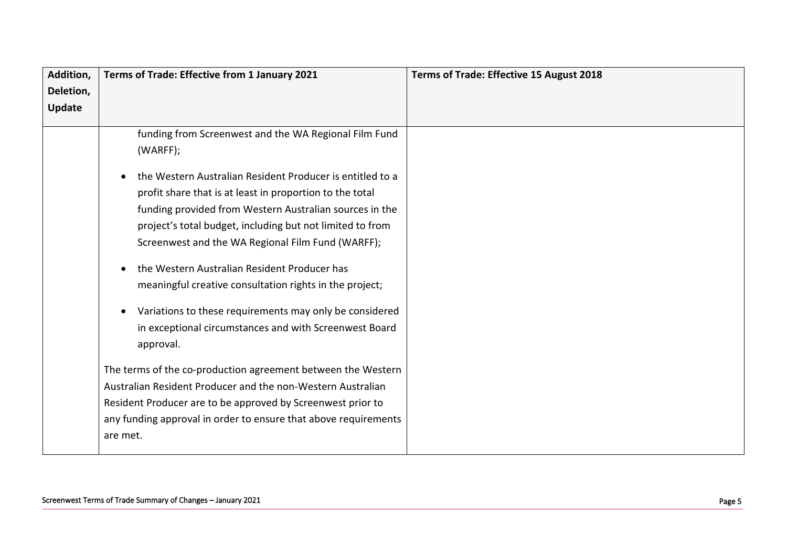| Addition, | Terms of Trade: Effective from 1 January 2021                   | Terms of Trade: Effective 15 August 2018 |
|-----------|-----------------------------------------------------------------|------------------------------------------|
| Deletion, |                                                                 |                                          |
| Update    |                                                                 |                                          |
|           | funding from Screenwest and the WA Regional Film Fund           |                                          |
|           | (WARFF);                                                        |                                          |
|           | the Western Australian Resident Producer is entitled to a       |                                          |
|           | profit share that is at least in proportion to the total        |                                          |
|           | funding provided from Western Australian sources in the         |                                          |
|           | project's total budget, including but not limited to from       |                                          |
|           | Screenwest and the WA Regional Film Fund (WARFF);               |                                          |
|           | the Western Australian Resident Producer has                    |                                          |
|           | meaningful creative consultation rights in the project;         |                                          |
|           | Variations to these requirements may only be considered         |                                          |
|           | in exceptional circumstances and with Screenwest Board          |                                          |
|           | approval.                                                       |                                          |
|           | The terms of the co-production agreement between the Western    |                                          |
|           | Australian Resident Producer and the non-Western Australian     |                                          |
|           | Resident Producer are to be approved by Screenwest prior to     |                                          |
|           | any funding approval in order to ensure that above requirements |                                          |
|           | are met.                                                        |                                          |
|           |                                                                 |                                          |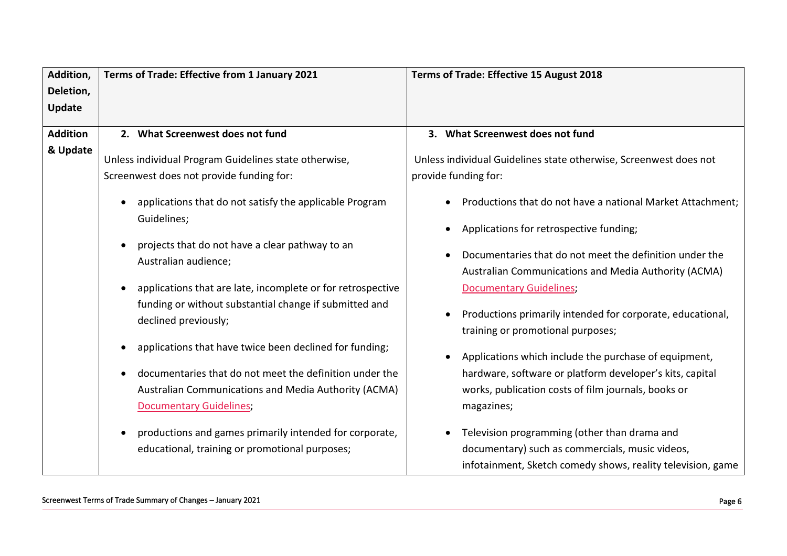| Addition,       | Terms of Trade: Effective from 1 January 2021                                                                                                                                                                             | Terms of Trade: Effective 15 August 2018                                                                                                                                               |
|-----------------|---------------------------------------------------------------------------------------------------------------------------------------------------------------------------------------------------------------------------|----------------------------------------------------------------------------------------------------------------------------------------------------------------------------------------|
| Deletion,       |                                                                                                                                                                                                                           |                                                                                                                                                                                        |
| Update          |                                                                                                                                                                                                                           |                                                                                                                                                                                        |
| <b>Addition</b> | 2. What Screenwest does not fund                                                                                                                                                                                          | 3. What Screenwest does not fund                                                                                                                                                       |
|                 |                                                                                                                                                                                                                           |                                                                                                                                                                                        |
| & Update        | Unless individual Program Guidelines state otherwise,                                                                                                                                                                     | Unless individual Guidelines state otherwise, Screenwest does not                                                                                                                      |
|                 | Screenwest does not provide funding for:                                                                                                                                                                                  | provide funding for:                                                                                                                                                                   |
|                 | applications that do not satisfy the applicable Program<br>$\bullet$<br>Guidelines;                                                                                                                                       | Productions that do not have a national Market Attachment;<br>Applications for retrospective funding;                                                                                  |
|                 | projects that do not have a clear pathway to an<br>$\bullet$<br>Australian audience;                                                                                                                                      | Documentaries that do not meet the definition under the<br>Australian Communications and Media Authority (ACMA)                                                                        |
|                 | applications that are late, incomplete or for retrospective<br>$\bullet$<br>funding or without substantial change if submitted and<br>declined previously;                                                                | <b>Documentary Guidelines;</b><br>Productions primarily intended for corporate, educational,<br>training or promotional purposes;                                                      |
|                 | applications that have twice been declined for funding;<br>documentaries that do not meet the definition under the<br>$\bullet$<br>Australian Communications and Media Authority (ACMA)<br><b>Documentary Guidelines;</b> | Applications which include the purchase of equipment,<br>hardware, software or platform developer's kits, capital<br>works, publication costs of film journals, books or<br>magazines; |
|                 | productions and games primarily intended for corporate,<br>$\bullet$<br>educational, training or promotional purposes;                                                                                                    | Television programming (other than drama and<br>documentary) such as commercials, music videos,<br>infotainment, Sketch comedy shows, reality television, game                         |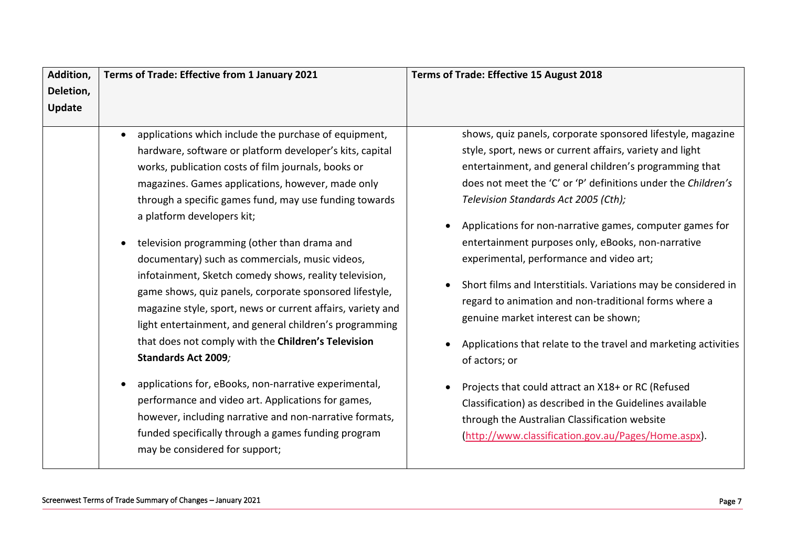| Addition, | Terms of Trade: Effective from 1 January 2021                                                                                                                                                                                                                                                                                                                                                                                                                                                                                                                                                                                                                                                                                                                                                                                                                                                                                                                                                                                         | Terms of Trade: Effective 15 August 2018                                                                                                                                                                                                                                                                                                                                                                                                                                                                                                                                                                                                                                                                                                                                                                                                                                                                                                   |
|-----------|---------------------------------------------------------------------------------------------------------------------------------------------------------------------------------------------------------------------------------------------------------------------------------------------------------------------------------------------------------------------------------------------------------------------------------------------------------------------------------------------------------------------------------------------------------------------------------------------------------------------------------------------------------------------------------------------------------------------------------------------------------------------------------------------------------------------------------------------------------------------------------------------------------------------------------------------------------------------------------------------------------------------------------------|--------------------------------------------------------------------------------------------------------------------------------------------------------------------------------------------------------------------------------------------------------------------------------------------------------------------------------------------------------------------------------------------------------------------------------------------------------------------------------------------------------------------------------------------------------------------------------------------------------------------------------------------------------------------------------------------------------------------------------------------------------------------------------------------------------------------------------------------------------------------------------------------------------------------------------------------|
| Deletion, |                                                                                                                                                                                                                                                                                                                                                                                                                                                                                                                                                                                                                                                                                                                                                                                                                                                                                                                                                                                                                                       |                                                                                                                                                                                                                                                                                                                                                                                                                                                                                                                                                                                                                                                                                                                                                                                                                                                                                                                                            |
| Update    |                                                                                                                                                                                                                                                                                                                                                                                                                                                                                                                                                                                                                                                                                                                                                                                                                                                                                                                                                                                                                                       |                                                                                                                                                                                                                                                                                                                                                                                                                                                                                                                                                                                                                                                                                                                                                                                                                                                                                                                                            |
|           | applications which include the purchase of equipment,<br>hardware, software or platform developer's kits, capital<br>works, publication costs of film journals, books or<br>magazines. Games applications, however, made only<br>through a specific games fund, may use funding towards<br>a platform developers kit;<br>television programming (other than drama and<br>documentary) such as commercials, music videos,<br>infotainment, Sketch comedy shows, reality television,<br>game shows, quiz panels, corporate sponsored lifestyle,<br>magazine style, sport, news or current affairs, variety and<br>light entertainment, and general children's programming<br>that does not comply with the Children's Television<br>Standards Act 2009;<br>applications for, eBooks, non-narrative experimental,<br>$\bullet$<br>performance and video art. Applications for games,<br>however, including narrative and non-narrative formats,<br>funded specifically through a games funding program<br>may be considered for support; | shows, quiz panels, corporate sponsored lifestyle, magazine<br>style, sport, news or current affairs, variety and light<br>entertainment, and general children's programming that<br>does not meet the 'C' or 'P' definitions under the Children's<br>Television Standards Act 2005 (Cth);<br>Applications for non-narrative games, computer games for<br>entertainment purposes only, eBooks, non-narrative<br>experimental, performance and video art;<br>Short films and Interstitials. Variations may be considered in<br>regard to animation and non-traditional forms where a<br>genuine market interest can be shown;<br>Applications that relate to the travel and marketing activities<br>of actors; or<br>Projects that could attract an X18+ or RC (Refused<br>Classification) as described in the Guidelines available<br>through the Australian Classification website<br>(http://www.classification.gov.au/Pages/Home.aspx). |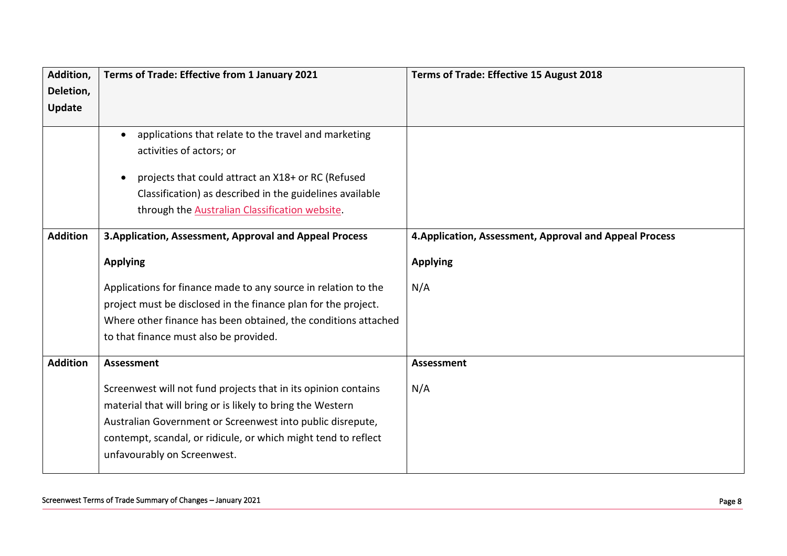| Addition,       | Terms of Trade: Effective from 1 January 2021                                                                                                                                                                                                                                  | Terms of Trade: Effective 15 August 2018                |
|-----------------|--------------------------------------------------------------------------------------------------------------------------------------------------------------------------------------------------------------------------------------------------------------------------------|---------------------------------------------------------|
| Deletion,       |                                                                                                                                                                                                                                                                                |                                                         |
| Update          |                                                                                                                                                                                                                                                                                |                                                         |
|                 | applications that relate to the travel and marketing<br>$\bullet$<br>activities of actors; or<br>projects that could attract an X18+ or RC (Refused<br>$\bullet$<br>Classification) as described in the guidelines available<br>through the Australian Classification website. |                                                         |
| <b>Addition</b> | 3. Application, Assessment, Approval and Appeal Process                                                                                                                                                                                                                        | 4. Application, Assessment, Approval and Appeal Process |
|                 | <b>Applying</b>                                                                                                                                                                                                                                                                | <b>Applying</b>                                         |
|                 | Applications for finance made to any source in relation to the                                                                                                                                                                                                                 | N/A                                                     |
|                 | project must be disclosed in the finance plan for the project.                                                                                                                                                                                                                 |                                                         |
|                 | Where other finance has been obtained, the conditions attached                                                                                                                                                                                                                 |                                                         |
|                 | to that finance must also be provided.                                                                                                                                                                                                                                         |                                                         |
| <b>Addition</b> | <b>Assessment</b>                                                                                                                                                                                                                                                              | <b>Assessment</b>                                       |
|                 | Screenwest will not fund projects that in its opinion contains                                                                                                                                                                                                                 | N/A                                                     |
|                 | material that will bring or is likely to bring the Western                                                                                                                                                                                                                     |                                                         |
|                 | Australian Government or Screenwest into public disrepute,                                                                                                                                                                                                                     |                                                         |
|                 | contempt, scandal, or ridicule, or which might tend to reflect                                                                                                                                                                                                                 |                                                         |
|                 | unfavourably on Screenwest.                                                                                                                                                                                                                                                    |                                                         |
|                 |                                                                                                                                                                                                                                                                                |                                                         |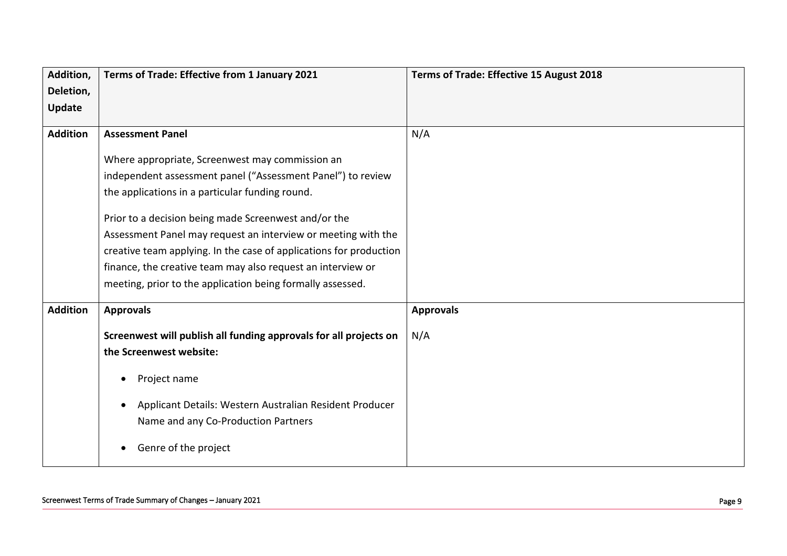| Addition,       | Terms of Trade: Effective from 1 January 2021                        | Terms of Trade: Effective 15 August 2018 |
|-----------------|----------------------------------------------------------------------|------------------------------------------|
| Deletion,       |                                                                      |                                          |
| <b>Update</b>   |                                                                      |                                          |
| <b>Addition</b> | <b>Assessment Panel</b>                                              | N/A                                      |
|                 |                                                                      |                                          |
|                 | Where appropriate, Screenwest may commission an                      |                                          |
|                 | independent assessment panel ("Assessment Panel") to review          |                                          |
|                 | the applications in a particular funding round.                      |                                          |
|                 | Prior to a decision being made Screenwest and/or the                 |                                          |
|                 | Assessment Panel may request an interview or meeting with the        |                                          |
|                 | creative team applying. In the case of applications for production   |                                          |
|                 | finance, the creative team may also request an interview or          |                                          |
|                 | meeting, prior to the application being formally assessed.           |                                          |
| <b>Addition</b> | <b>Approvals</b>                                                     | <b>Approvals</b>                         |
|                 | Screenwest will publish all funding approvals for all projects on    | N/A                                      |
|                 | the Screenwest website:                                              |                                          |
|                 |                                                                      |                                          |
|                 | Project name<br>$\bullet$                                            |                                          |
|                 | Applicant Details: Western Australian Resident Producer<br>$\bullet$ |                                          |
|                 | Name and any Co-Production Partners                                  |                                          |
|                 |                                                                      |                                          |
|                 | Genre of the project<br>$\bullet$                                    |                                          |
|                 |                                                                      |                                          |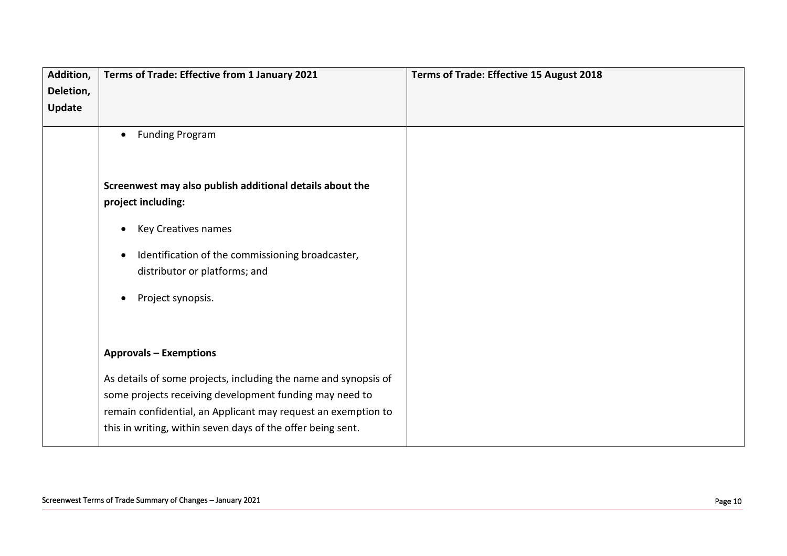| Addition, | Terms of Trade: Effective from 1 January 2021                   | Terms of Trade: Effective 15 August 2018 |
|-----------|-----------------------------------------------------------------|------------------------------------------|
| Deletion, |                                                                 |                                          |
| Update    |                                                                 |                                          |
|           |                                                                 |                                          |
|           | <b>Funding Program</b><br>$\bullet$                             |                                          |
|           |                                                                 |                                          |
|           |                                                                 |                                          |
|           | Screenwest may also publish additional details about the        |                                          |
|           | project including:                                              |                                          |
|           | <b>Key Creatives names</b><br>$\bullet$                         |                                          |
|           |                                                                 |                                          |
|           | Identification of the commissioning broadcaster,<br>$\bullet$   |                                          |
|           | distributor or platforms; and                                   |                                          |
|           |                                                                 |                                          |
|           | Project synopsis.<br>$\bullet$                                  |                                          |
|           |                                                                 |                                          |
|           |                                                                 |                                          |
|           | <b>Approvals - Exemptions</b>                                   |                                          |
|           | As details of some projects, including the name and synopsis of |                                          |
|           | some projects receiving development funding may need to         |                                          |
|           | remain confidential, an Applicant may request an exemption to   |                                          |
|           | this in writing, within seven days of the offer being sent.     |                                          |
|           |                                                                 |                                          |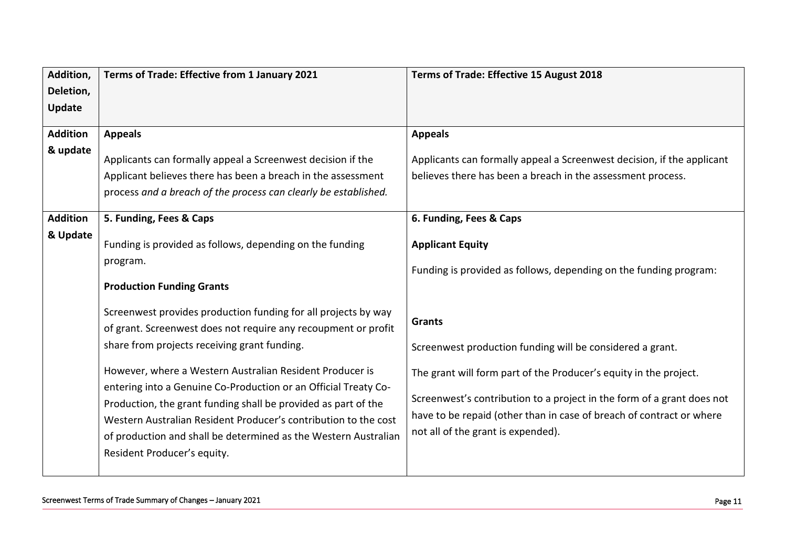| Addition,       | Terms of Trade: Effective from 1 January 2021                   | Terms of Trade: Effective 15 August 2018                               |
|-----------------|-----------------------------------------------------------------|------------------------------------------------------------------------|
| Deletion,       |                                                                 |                                                                        |
| Update          |                                                                 |                                                                        |
| <b>Addition</b> | <b>Appeals</b>                                                  | <b>Appeals</b>                                                         |
| & update        |                                                                 |                                                                        |
|                 | Applicants can formally appeal a Screenwest decision if the     | Applicants can formally appeal a Screenwest decision, if the applicant |
|                 | Applicant believes there has been a breach in the assessment    | believes there has been a breach in the assessment process.            |
|                 | process and a breach of the process can clearly be established. |                                                                        |
|                 |                                                                 |                                                                        |
| <b>Addition</b> | 5. Funding, Fees & Caps                                         | 6. Funding, Fees & Caps                                                |
| & Update        | Funding is provided as follows, depending on the funding        | <b>Applicant Equity</b>                                                |
|                 | program.                                                        |                                                                        |
|                 |                                                                 | Funding is provided as follows, depending on the funding program:      |
|                 | <b>Production Funding Grants</b>                                |                                                                        |
|                 | Screenwest provides production funding for all projects by way  |                                                                        |
|                 | of grant. Screenwest does not require any recoupment or profit  | <b>Grants</b>                                                          |
|                 | share from projects receiving grant funding.                    | Screenwest production funding will be considered a grant.              |
|                 |                                                                 |                                                                        |
|                 | However, where a Western Australian Resident Producer is        | The grant will form part of the Producer's equity in the project.      |
|                 | entering into a Genuine Co-Production or an Official Treaty Co- |                                                                        |
|                 | Production, the grant funding shall be provided as part of the  | Screenwest's contribution to a project in the form of a grant does not |
|                 | Western Australian Resident Producer's contribution to the cost | have to be repaid (other than in case of breach of contract or where   |
|                 | of production and shall be determined as the Western Australian | not all of the grant is expended).                                     |
|                 | Resident Producer's equity.                                     |                                                                        |
|                 |                                                                 |                                                                        |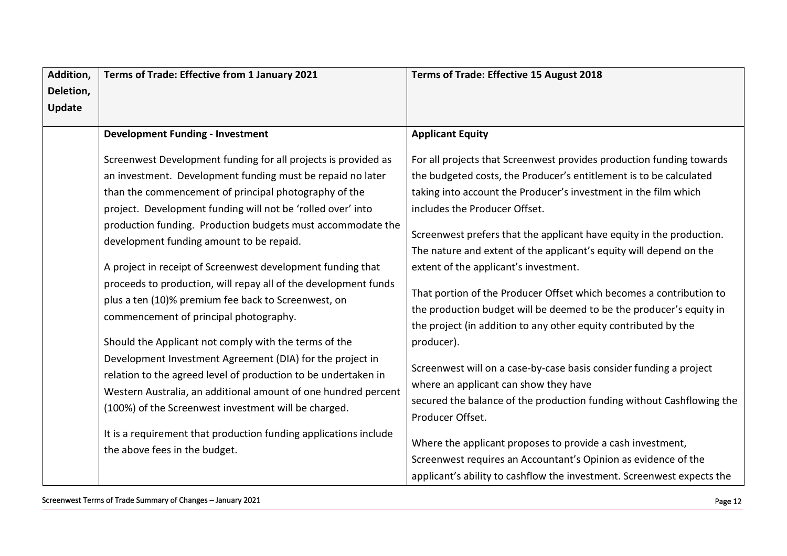| Addition,     | Terms of Trade: Effective from 1 January 2021                                                                                                                                                                                                         | Terms of Trade: Effective 15 August 2018                                                                                                                                                                      |
|---------------|-------------------------------------------------------------------------------------------------------------------------------------------------------------------------------------------------------------------------------------------------------|---------------------------------------------------------------------------------------------------------------------------------------------------------------------------------------------------------------|
| Deletion,     |                                                                                                                                                                                                                                                       |                                                                                                                                                                                                               |
| <b>Update</b> |                                                                                                                                                                                                                                                       |                                                                                                                                                                                                               |
|               | <b>Development Funding - Investment</b>                                                                                                                                                                                                               | <b>Applicant Equity</b>                                                                                                                                                                                       |
|               |                                                                                                                                                                                                                                                       |                                                                                                                                                                                                               |
|               | Screenwest Development funding for all projects is provided as                                                                                                                                                                                        | For all projects that Screenwest provides production funding towards                                                                                                                                          |
|               | an investment. Development funding must be repaid no later                                                                                                                                                                                            | the budgeted costs, the Producer's entitlement is to be calculated                                                                                                                                            |
|               | than the commencement of principal photography of the                                                                                                                                                                                                 | taking into account the Producer's investment in the film which                                                                                                                                               |
|               | project. Development funding will not be 'rolled over' into                                                                                                                                                                                           | includes the Producer Offset.                                                                                                                                                                                 |
|               | production funding. Production budgets must accommodate the<br>development funding amount to be repaid.                                                                                                                                               | Screenwest prefers that the applicant have equity in the production.<br>The nature and extent of the applicant's equity will depend on the                                                                    |
|               | A project in receipt of Screenwest development funding that                                                                                                                                                                                           | extent of the applicant's investment.                                                                                                                                                                         |
|               | proceeds to production, will repay all of the development funds<br>plus a ten (10)% premium fee back to Screenwest, on<br>commencement of principal photography.                                                                                      | That portion of the Producer Offset which becomes a contribution to<br>the production budget will be deemed to be the producer's equity in<br>the project (in addition to any other equity contributed by the |
|               | Should the Applicant not comply with the terms of the                                                                                                                                                                                                 | producer).                                                                                                                                                                                                    |
|               | Development Investment Agreement (DIA) for the project in<br>relation to the agreed level of production to be undertaken in<br>Western Australia, an additional amount of one hundred percent<br>(100%) of the Screenwest investment will be charged. | Screenwest will on a case-by-case basis consider funding a project<br>where an applicant can show they have<br>secured the balance of the production funding without Cashflowing the<br>Producer Offset.      |
|               | It is a requirement that production funding applications include<br>the above fees in the budget.                                                                                                                                                     | Where the applicant proposes to provide a cash investment,<br>Screenwest requires an Accountant's Opinion as evidence of the<br>applicant's ability to cashflow the investment. Screenwest expects the        |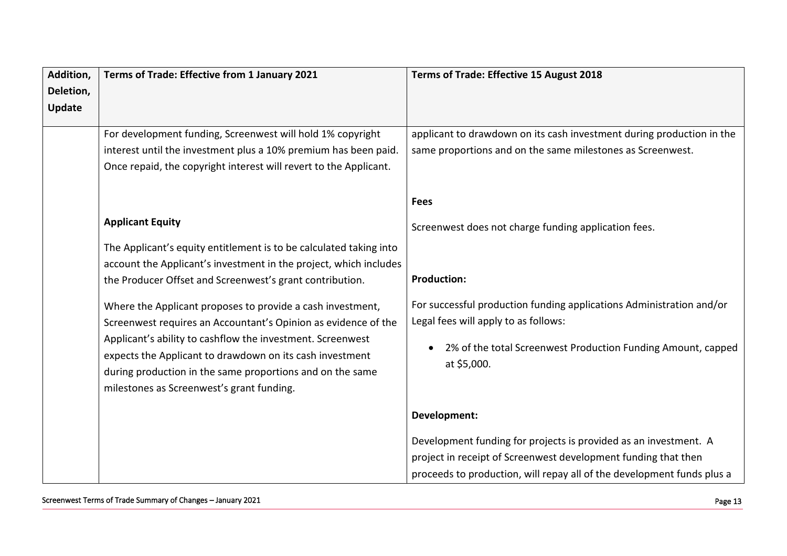| Addition,     | Terms of Trade: Effective from 1 January 2021                                                                          | Terms of Trade: Effective 15 August 2018                                                                                           |
|---------------|------------------------------------------------------------------------------------------------------------------------|------------------------------------------------------------------------------------------------------------------------------------|
| Deletion,     |                                                                                                                        |                                                                                                                                    |
| <b>Update</b> |                                                                                                                        |                                                                                                                                    |
|               | For development funding, Screenwest will hold 1% copyright                                                             | applicant to drawdown on its cash investment during production in the                                                              |
|               | interest until the investment plus a 10% premium has been paid.                                                        | same proportions and on the same milestones as Screenwest.                                                                         |
|               | Once repaid, the copyright interest will revert to the Applicant.                                                      |                                                                                                                                    |
|               |                                                                                                                        |                                                                                                                                    |
|               |                                                                                                                        | <b>Fees</b>                                                                                                                        |
|               | <b>Applicant Equity</b>                                                                                                | Screenwest does not charge funding application fees.                                                                               |
|               | The Applicant's equity entitlement is to be calculated taking into                                                     |                                                                                                                                    |
|               | account the Applicant's investment in the project, which includes                                                      |                                                                                                                                    |
|               | the Producer Offset and Screenwest's grant contribution.                                                               | <b>Production:</b>                                                                                                                 |
|               | Where the Applicant proposes to provide a cash investment,                                                             | For successful production funding applications Administration and/or                                                               |
|               | Screenwest requires an Accountant's Opinion as evidence of the                                                         | Legal fees will apply to as follows:                                                                                               |
|               | Applicant's ability to cashflow the investment. Screenwest<br>expects the Applicant to drawdown on its cash investment | 2% of the total Screenwest Production Funding Amount, capped<br>$\bullet$                                                          |
|               | during production in the same proportions and on the same                                                              | at \$5,000.                                                                                                                        |
|               | milestones as Screenwest's grant funding.                                                                              |                                                                                                                                    |
|               |                                                                                                                        | Development:                                                                                                                       |
|               |                                                                                                                        | Development funding for projects is provided as an investment. A<br>project in receipt of Screenwest development funding that then |
|               |                                                                                                                        | proceeds to production, will repay all of the development funds plus a                                                             |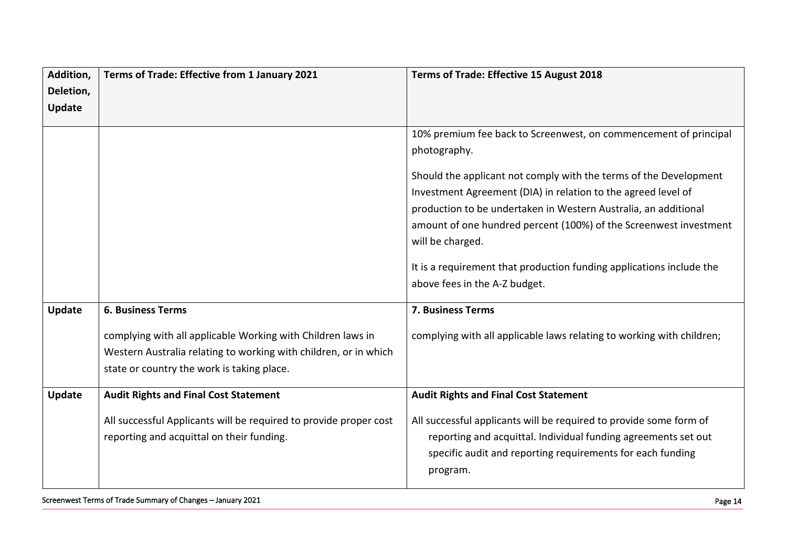| Addition, | Terms of Trade: Effective from 1 January 2021                     | <b>Terms of Trade: Effective 15 August 2018</b>                       |
|-----------|-------------------------------------------------------------------|-----------------------------------------------------------------------|
| Deletion, |                                                                   |                                                                       |
| Update    |                                                                   |                                                                       |
|           |                                                                   |                                                                       |
|           |                                                                   | 10% premium fee back to Screenwest, on commencement of principal      |
|           |                                                                   | photography.                                                          |
|           |                                                                   | Should the applicant not comply with the terms of the Development     |
|           |                                                                   | Investment Agreement (DIA) in relation to the agreed level of         |
|           |                                                                   | production to be undertaken in Western Australia, an additional       |
|           |                                                                   | amount of one hundred percent (100%) of the Screenwest investment     |
|           |                                                                   | will be charged.                                                      |
|           |                                                                   | It is a requirement that production funding applications include the  |
|           |                                                                   | above fees in the A-Z budget.                                         |
|           |                                                                   |                                                                       |
| Update    | <b>6. Business Terms</b>                                          | 7. Business Terms                                                     |
|           | complying with all applicable Working with Children laws in       | complying with all applicable laws relating to working with children; |
|           | Western Australia relating to working with children, or in which  |                                                                       |
|           | state or country the work is taking place.                        |                                                                       |
|           |                                                                   |                                                                       |
| Update    | <b>Audit Rights and Final Cost Statement</b>                      | <b>Audit Rights and Final Cost Statement</b>                          |
|           | All successful Applicants will be required to provide proper cost | All successful applicants will be required to provide some form of    |
|           | reporting and acquittal on their funding.                         | reporting and acquittal. Individual funding agreements set out        |
|           |                                                                   | specific audit and reporting requirements for each funding            |
|           |                                                                   | program.                                                              |
|           |                                                                   |                                                                       |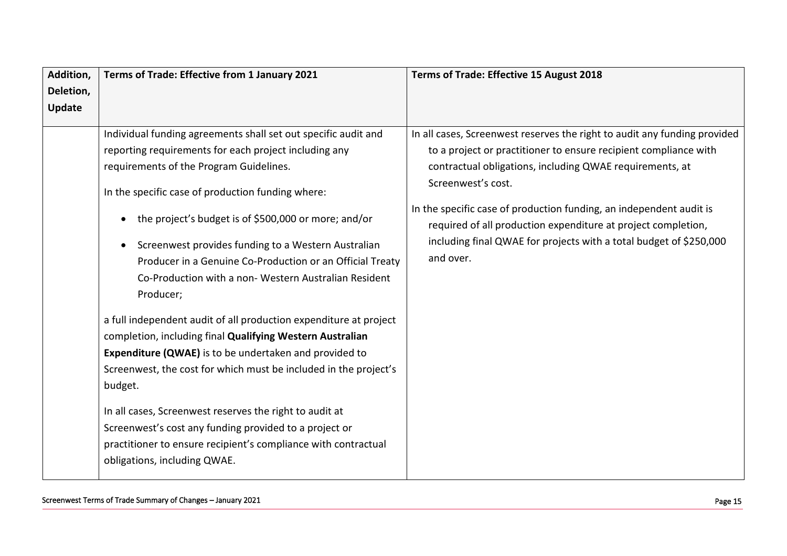| Addition,<br>Deletion, | Terms of Trade: Effective from 1 January 2021                                                                                                                                                                                                                                                                                                                                                                                                                                                                                                                                                                                                                                                                                                                                                                                                                                                                                                                                     | Terms of Trade: Effective 15 August 2018                                                                                                                                                                                                                                                                                                                                                                                                                   |
|------------------------|-----------------------------------------------------------------------------------------------------------------------------------------------------------------------------------------------------------------------------------------------------------------------------------------------------------------------------------------------------------------------------------------------------------------------------------------------------------------------------------------------------------------------------------------------------------------------------------------------------------------------------------------------------------------------------------------------------------------------------------------------------------------------------------------------------------------------------------------------------------------------------------------------------------------------------------------------------------------------------------|------------------------------------------------------------------------------------------------------------------------------------------------------------------------------------------------------------------------------------------------------------------------------------------------------------------------------------------------------------------------------------------------------------------------------------------------------------|
| <b>Update</b>          |                                                                                                                                                                                                                                                                                                                                                                                                                                                                                                                                                                                                                                                                                                                                                                                                                                                                                                                                                                                   |                                                                                                                                                                                                                                                                                                                                                                                                                                                            |
|                        | Individual funding agreements shall set out specific audit and<br>reporting requirements for each project including any<br>requirements of the Program Guidelines.<br>In the specific case of production funding where:<br>the project's budget is of \$500,000 or more; and/or<br>Screenwest provides funding to a Western Australian<br>Producer in a Genuine Co-Production or an Official Treaty<br>Co-Production with a non-Western Australian Resident<br>Producer;<br>a full independent audit of all production expenditure at project<br>completion, including final Qualifying Western Australian<br><b>Expenditure (QWAE)</b> is to be undertaken and provided to<br>Screenwest, the cost for which must be included in the project's<br>budget.<br>In all cases, Screenwest reserves the right to audit at<br>Screenwest's cost any funding provided to a project or<br>practitioner to ensure recipient's compliance with contractual<br>obligations, including QWAE. | In all cases, Screenwest reserves the right to audit any funding provided<br>to a project or practitioner to ensure recipient compliance with<br>contractual obligations, including QWAE requirements, at<br>Screenwest's cost.<br>In the specific case of production funding, an independent audit is<br>required of all production expenditure at project completion,<br>including final QWAE for projects with a total budget of \$250,000<br>and over. |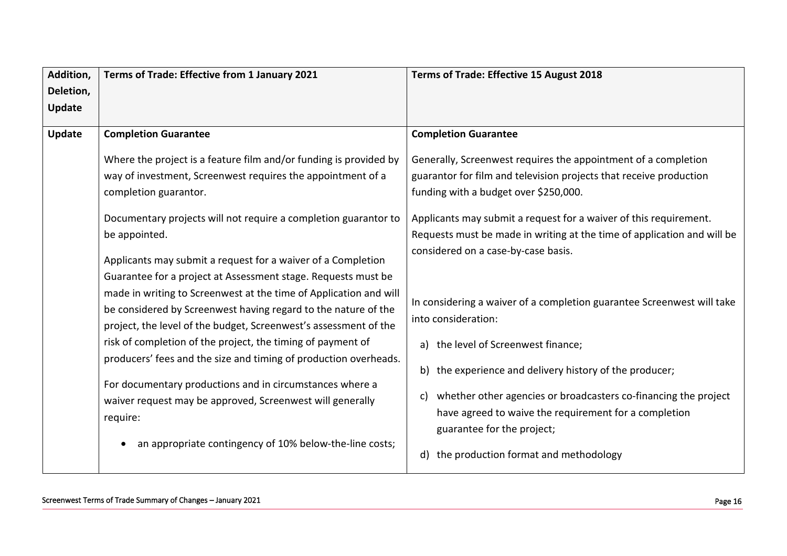| Addition, | Terms of Trade: Effective from 1 January 2021                     | Terms of Trade: Effective 15 August 2018                                |
|-----------|-------------------------------------------------------------------|-------------------------------------------------------------------------|
| Deletion, |                                                                   |                                                                         |
| Update    |                                                                   |                                                                         |
| Update    | <b>Completion Guarantee</b>                                       | <b>Completion Guarantee</b>                                             |
|           |                                                                   |                                                                         |
|           | Where the project is a feature film and/or funding is provided by | Generally, Screenwest requires the appointment of a completion          |
|           | way of investment, Screenwest requires the appointment of a       | guarantor for film and television projects that receive production      |
|           | completion guarantor.                                             | funding with a budget over \$250,000.                                   |
|           | Documentary projects will not require a completion guarantor to   | Applicants may submit a request for a waiver of this requirement.       |
|           | be appointed.                                                     | Requests must be made in writing at the time of application and will be |
|           |                                                                   | considered on a case-by-case basis.                                     |
|           | Applicants may submit a request for a waiver of a Completion      |                                                                         |
|           | Guarantee for a project at Assessment stage. Requests must be     |                                                                         |
|           | made in writing to Screenwest at the time of Application and will | In considering a waiver of a completion guarantee Screenwest will take  |
|           | be considered by Screenwest having regard to the nature of the    | into consideration:                                                     |
|           | project, the level of the budget, Screenwest's assessment of the  |                                                                         |
|           | risk of completion of the project, the timing of payment of       | a) the level of Screenwest finance;                                     |
|           | producers' fees and the size and timing of production overheads.  | b) the experience and delivery history of the producer;                 |
|           | For documentary productions and in circumstances where a          |                                                                         |
|           | waiver request may be approved, Screenwest will generally         | whether other agencies or broadcasters co-financing the project<br>C)   |
|           | require:                                                          | have agreed to waive the requirement for a completion                   |
|           |                                                                   | guarantee for the project;                                              |
|           | an appropriate contingency of 10% below-the-line costs;           |                                                                         |
|           |                                                                   | the production format and methodology<br>d)                             |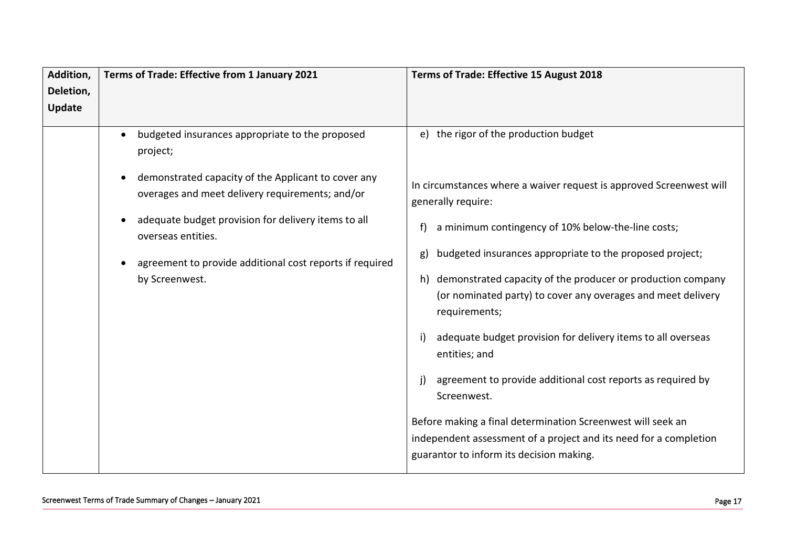| Addition,     | Terms of Trade: Effective from 1 January 2021                                                          | Terms of Trade: Effective 15 August 2018                                                                                                                                     |
|---------------|--------------------------------------------------------------------------------------------------------|------------------------------------------------------------------------------------------------------------------------------------------------------------------------------|
| Deletion,     |                                                                                                        |                                                                                                                                                                              |
| <b>Update</b> |                                                                                                        |                                                                                                                                                                              |
|               | budgeted insurances appropriate to the proposed<br>$\bullet$<br>project;                               | e) the rigor of the production budget                                                                                                                                        |
|               | demonstrated capacity of the Applicant to cover any<br>overages and meet delivery requirements; and/or | In circumstances where a waiver request is approved Screenwest will<br>generally require:                                                                                    |
|               | adequate budget provision for delivery items to all<br>overseas entities.                              | a minimum contingency of 10% below-the-line costs;                                                                                                                           |
|               | agreement to provide additional cost reports if required                                               | budgeted insurances appropriate to the proposed project;<br>g)                                                                                                               |
|               | by Screenwest.                                                                                         | h) demonstrated capacity of the producer or production company<br>(or nominated party) to cover any overages and meet delivery<br>requirements;                              |
|               |                                                                                                        | adequate budget provision for delivery items to all overseas<br>i)<br>entities; and                                                                                          |
|               |                                                                                                        | j)<br>agreement to provide additional cost reports as required by<br>Screenwest.                                                                                             |
|               |                                                                                                        | Before making a final determination Screenwest will seek an<br>independent assessment of a project and its need for a completion<br>guarantor to inform its decision making. |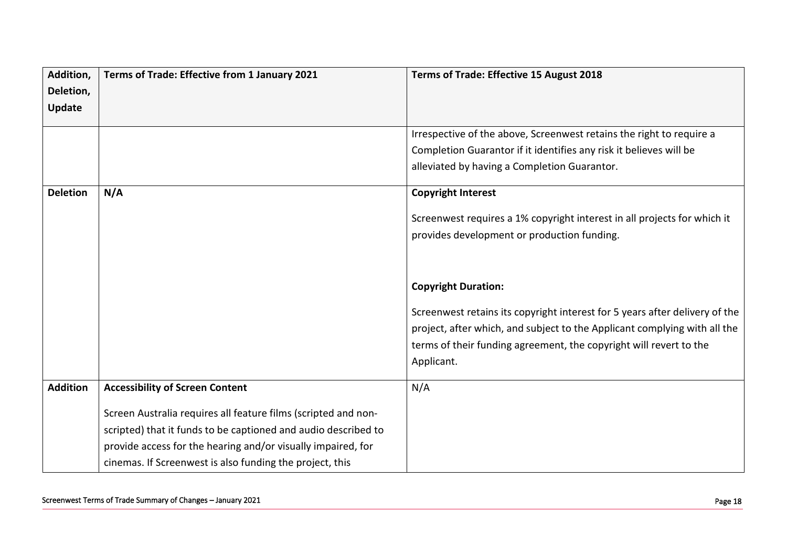| Deletion,<br><b>Update</b><br>Irrespective of the above, Screenwest retains the right to require a<br>Completion Guarantor if it identifies any risk it believes will be<br>alleviated by having a Completion Guarantor. |
|--------------------------------------------------------------------------------------------------------------------------------------------------------------------------------------------------------------------------|
|                                                                                                                                                                                                                          |
|                                                                                                                                                                                                                          |
|                                                                                                                                                                                                                          |
|                                                                                                                                                                                                                          |
|                                                                                                                                                                                                                          |
| <b>Deletion</b><br>N/A<br><b>Copyright Interest</b>                                                                                                                                                                      |
| Screenwest requires a 1% copyright interest in all projects for which it                                                                                                                                                 |
| provides development or production funding.                                                                                                                                                                              |
|                                                                                                                                                                                                                          |
|                                                                                                                                                                                                                          |
| <b>Copyright Duration:</b>                                                                                                                                                                                               |
| Screenwest retains its copyright interest for 5 years after delivery of the                                                                                                                                              |
| project, after which, and subject to the Applicant complying with all the                                                                                                                                                |
| terms of their funding agreement, the copyright will revert to the                                                                                                                                                       |
| Applicant.                                                                                                                                                                                                               |
|                                                                                                                                                                                                                          |
| <b>Addition</b><br>N/A<br><b>Accessibility of Screen Content</b>                                                                                                                                                         |
| Screen Australia requires all feature films (scripted and non-                                                                                                                                                           |
| scripted) that it funds to be captioned and audio described to                                                                                                                                                           |
| provide access for the hearing and/or visually impaired, for                                                                                                                                                             |
| cinemas. If Screenwest is also funding the project, this                                                                                                                                                                 |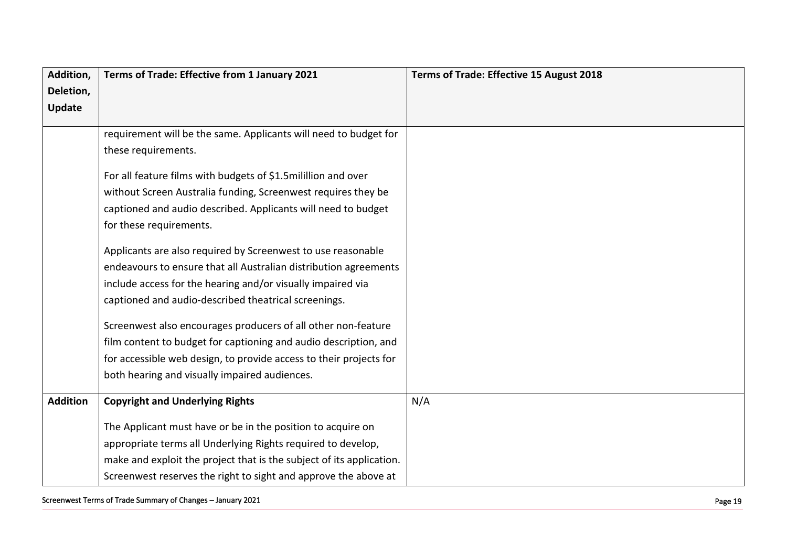| Addition,       | Terms of Trade: Effective from 1 January 2021                        | Terms of Trade: Effective 15 August 2018 |
|-----------------|----------------------------------------------------------------------|------------------------------------------|
| Deletion,       |                                                                      |                                          |
| <b>Update</b>   |                                                                      |                                          |
|                 | requirement will be the same. Applicants will need to budget for     |                                          |
|                 | these requirements.                                                  |                                          |
|                 |                                                                      |                                          |
|                 | For all feature films with budgets of \$1.5 milillion and over       |                                          |
|                 | without Screen Australia funding, Screenwest requires they be        |                                          |
|                 | captioned and audio described. Applicants will need to budget        |                                          |
|                 | for these requirements.                                              |                                          |
|                 |                                                                      |                                          |
|                 | Applicants are also required by Screenwest to use reasonable         |                                          |
|                 | endeavours to ensure that all Australian distribution agreements     |                                          |
|                 | include access for the hearing and/or visually impaired via          |                                          |
|                 | captioned and audio-described theatrical screenings.                 |                                          |
|                 | Screenwest also encourages producers of all other non-feature        |                                          |
|                 | film content to budget for captioning and audio description, and     |                                          |
|                 | for accessible web design, to provide access to their projects for   |                                          |
|                 | both hearing and visually impaired audiences.                        |                                          |
|                 |                                                                      |                                          |
| <b>Addition</b> | <b>Copyright and Underlying Rights</b>                               | N/A                                      |
|                 | The Applicant must have or be in the position to acquire on          |                                          |
|                 | appropriate terms all Underlying Rights required to develop,         |                                          |
|                 | make and exploit the project that is the subject of its application. |                                          |
|                 | Screenwest reserves the right to sight and approve the above at      |                                          |

Screenwest Terms of Trade Summary of Changes - January 2021 **Figure 2018** – January 2021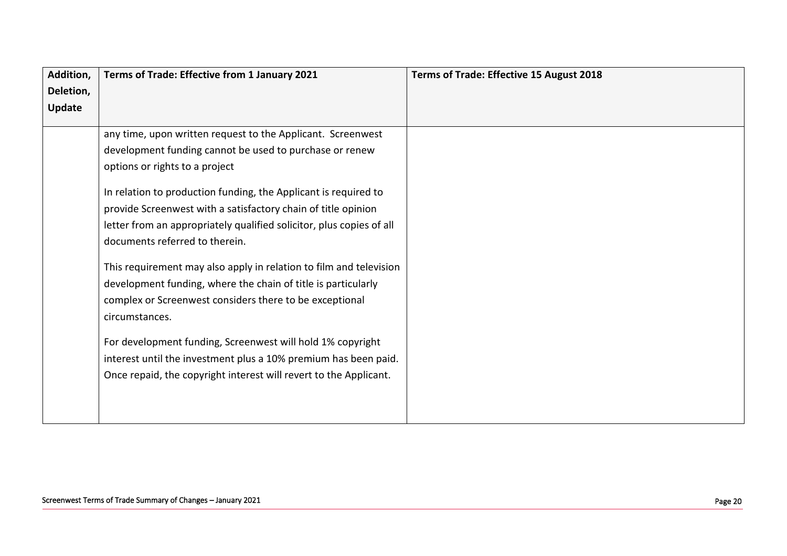| Addition, | Terms of Trade: Effective from 1 January 2021                                                                                                                                                                               | Terms of Trade: Effective 15 August 2018 |
|-----------|-----------------------------------------------------------------------------------------------------------------------------------------------------------------------------------------------------------------------------|------------------------------------------|
| Deletion, |                                                                                                                                                                                                                             |                                          |
| Update    |                                                                                                                                                                                                                             |                                          |
|           | any time, upon written request to the Applicant. Screenwest<br>development funding cannot be used to purchase or renew<br>options or rights to a project<br>In relation to production funding, the Applicant is required to |                                          |
|           | provide Screenwest with a satisfactory chain of title opinion<br>letter from an appropriately qualified solicitor, plus copies of all<br>documents referred to therein.                                                     |                                          |
|           | This requirement may also apply in relation to film and television<br>development funding, where the chain of title is particularly<br>complex or Screenwest considers there to be exceptional<br>circumstances.            |                                          |
|           | For development funding, Screenwest will hold 1% copyright<br>interest until the investment plus a 10% premium has been paid.<br>Once repaid, the copyright interest will revert to the Applicant.                          |                                          |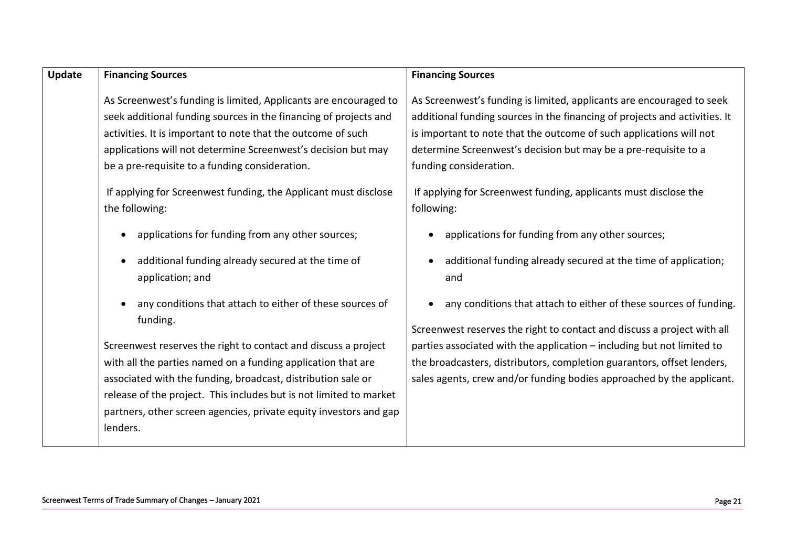| Update | <b>Financing Sources</b>                                                                                                                                                                                                                                                                                                                                                                                                                                                                                                                                                                                                                                                                                                                                                                                                                                                                                                                                                   | <b>Financing Sources</b>                                                                                                                                                                                                                                                                                                                                                                                                                                                                                                                                                                                                                                                                                                                                                                                                                                                                                                 |
|--------|----------------------------------------------------------------------------------------------------------------------------------------------------------------------------------------------------------------------------------------------------------------------------------------------------------------------------------------------------------------------------------------------------------------------------------------------------------------------------------------------------------------------------------------------------------------------------------------------------------------------------------------------------------------------------------------------------------------------------------------------------------------------------------------------------------------------------------------------------------------------------------------------------------------------------------------------------------------------------|--------------------------------------------------------------------------------------------------------------------------------------------------------------------------------------------------------------------------------------------------------------------------------------------------------------------------------------------------------------------------------------------------------------------------------------------------------------------------------------------------------------------------------------------------------------------------------------------------------------------------------------------------------------------------------------------------------------------------------------------------------------------------------------------------------------------------------------------------------------------------------------------------------------------------|
|        | As Screenwest's funding is limited, Applicants are encouraged to<br>seek additional funding sources in the financing of projects and<br>activities. It is important to note that the outcome of such<br>applications will not determine Screenwest's decision but may<br>be a pre-requisite to a funding consideration.<br>If applying for Screenwest funding, the Applicant must disclose<br>the following:<br>applications for funding from any other sources;<br>additional funding already secured at the time of<br>application; and<br>any conditions that attach to either of these sources of<br>funding.<br>Screenwest reserves the right to contact and discuss a project<br>with all the parties named on a funding application that are<br>associated with the funding, broadcast, distribution sale or<br>release of the project. This includes but is not limited to market<br>partners, other screen agencies, private equity investors and gap<br>lenders. | As Screenwest's funding is limited, applicants are encouraged to seek<br>additional funding sources in the financing of projects and activities. It<br>is important to note that the outcome of such applications will not<br>determine Screenwest's decision but may be a pre-requisite to a<br>funding consideration.<br>If applying for Screenwest funding, applicants must disclose the<br>following:<br>applications for funding from any other sources;<br>additional funding already secured at the time of application;<br>٠<br>and<br>any conditions that attach to either of these sources of funding.<br>Screenwest reserves the right to contact and discuss a project with all<br>parties associated with the application - including but not limited to<br>the broadcasters, distributors, completion guarantors, offset lenders,<br>sales agents, crew and/or funding bodies approached by the applicant. |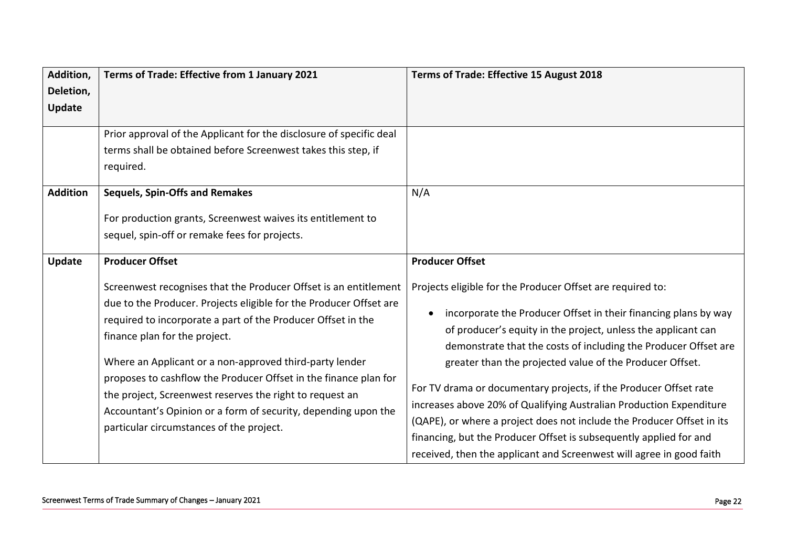| Addition,       | Terms of Trade: Effective from 1 January 2021                                                                                                                                                                                                                                                                                                                                                                                                                                                                                                    | Terms of Trade: Effective 15 August 2018                                                                                                                                                                                                                                                                                                                                                                                                                                                                                                                                                                                                                                                                       |
|-----------------|--------------------------------------------------------------------------------------------------------------------------------------------------------------------------------------------------------------------------------------------------------------------------------------------------------------------------------------------------------------------------------------------------------------------------------------------------------------------------------------------------------------------------------------------------|----------------------------------------------------------------------------------------------------------------------------------------------------------------------------------------------------------------------------------------------------------------------------------------------------------------------------------------------------------------------------------------------------------------------------------------------------------------------------------------------------------------------------------------------------------------------------------------------------------------------------------------------------------------------------------------------------------------|
| Deletion,       |                                                                                                                                                                                                                                                                                                                                                                                                                                                                                                                                                  |                                                                                                                                                                                                                                                                                                                                                                                                                                                                                                                                                                                                                                                                                                                |
| Update          |                                                                                                                                                                                                                                                                                                                                                                                                                                                                                                                                                  |                                                                                                                                                                                                                                                                                                                                                                                                                                                                                                                                                                                                                                                                                                                |
|                 | Prior approval of the Applicant for the disclosure of specific deal<br>terms shall be obtained before Screenwest takes this step, if<br>required.                                                                                                                                                                                                                                                                                                                                                                                                |                                                                                                                                                                                                                                                                                                                                                                                                                                                                                                                                                                                                                                                                                                                |
| <b>Addition</b> | <b>Sequels, Spin-Offs and Remakes</b><br>For production grants, Screenwest waives its entitlement to<br>sequel, spin-off or remake fees for projects.                                                                                                                                                                                                                                                                                                                                                                                            | N/A                                                                                                                                                                                                                                                                                                                                                                                                                                                                                                                                                                                                                                                                                                            |
| Update          | <b>Producer Offset</b>                                                                                                                                                                                                                                                                                                                                                                                                                                                                                                                           | <b>Producer Offset</b>                                                                                                                                                                                                                                                                                                                                                                                                                                                                                                                                                                                                                                                                                         |
|                 | Screenwest recognises that the Producer Offset is an entitlement<br>due to the Producer. Projects eligible for the Producer Offset are<br>required to incorporate a part of the Producer Offset in the<br>finance plan for the project.<br>Where an Applicant or a non-approved third-party lender<br>proposes to cashflow the Producer Offset in the finance plan for<br>the project, Screenwest reserves the right to request an<br>Accountant's Opinion or a form of security, depending upon the<br>particular circumstances of the project. | Projects eligible for the Producer Offset are required to:<br>incorporate the Producer Offset in their financing plans by way<br>$\bullet$<br>of producer's equity in the project, unless the applicant can<br>demonstrate that the costs of including the Producer Offset are<br>greater than the projected value of the Producer Offset.<br>For TV drama or documentary projects, if the Producer Offset rate<br>increases above 20% of Qualifying Australian Production Expenditure<br>(QAPE), or where a project does not include the Producer Offset in its<br>financing, but the Producer Offset is subsequently applied for and<br>received, then the applicant and Screenwest will agree in good faith |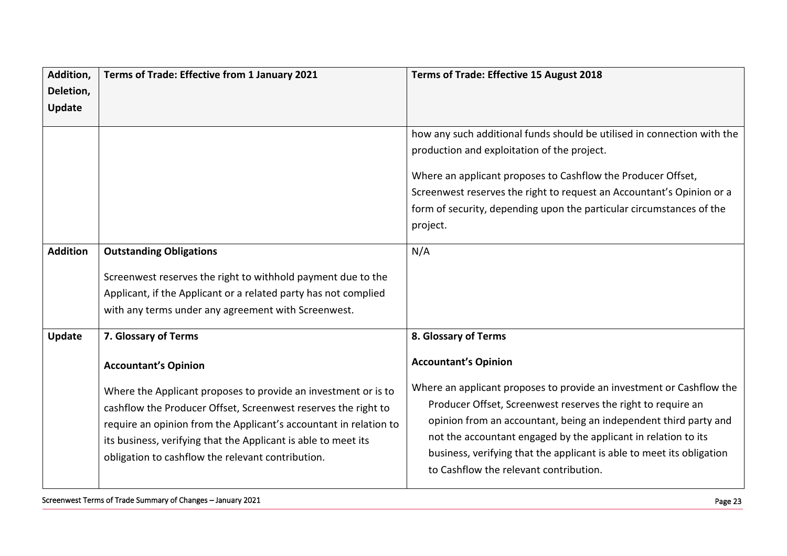| Addition,       | Terms of Trade: Effective from 1 January 2021                     | Terms of Trade: Effective 15 August 2018                                |
|-----------------|-------------------------------------------------------------------|-------------------------------------------------------------------------|
| Deletion,       |                                                                   |                                                                         |
| Update          |                                                                   |                                                                         |
|                 |                                                                   |                                                                         |
|                 |                                                                   | how any such additional funds should be utilised in connection with the |
|                 |                                                                   | production and exploitation of the project.                             |
|                 |                                                                   | Where an applicant proposes to Cashflow the Producer Offset,            |
|                 |                                                                   | Screenwest reserves the right to request an Accountant's Opinion or a   |
|                 |                                                                   | form of security, depending upon the particular circumstances of the    |
|                 |                                                                   | project.                                                                |
| <b>Addition</b> | <b>Outstanding Obligations</b>                                    | N/A                                                                     |
|                 |                                                                   |                                                                         |
|                 | Screenwest reserves the right to withhold payment due to the      |                                                                         |
|                 | Applicant, if the Applicant or a related party has not complied   |                                                                         |
|                 | with any terms under any agreement with Screenwest.               |                                                                         |
| Update          | 7. Glossary of Terms                                              | 8. Glossary of Terms                                                    |
|                 | <b>Accountant's Opinion</b>                                       | <b>Accountant's Opinion</b>                                             |
|                 | Where the Applicant proposes to provide an investment or is to    | Where an applicant proposes to provide an investment or Cashflow the    |
|                 | cashflow the Producer Offset, Screenwest reserves the right to    | Producer Offset, Screenwest reserves the right to require an            |
|                 | require an opinion from the Applicant's accountant in relation to | opinion from an accountant, being an independent third party and        |
|                 | its business, verifying that the Applicant is able to meet its    | not the accountant engaged by the applicant in relation to its          |
|                 |                                                                   | business, verifying that the applicant is able to meet its obligation   |
|                 | obligation to cashflow the relevant contribution.                 | to Cashflow the relevant contribution.                                  |
|                 |                                                                   |                                                                         |